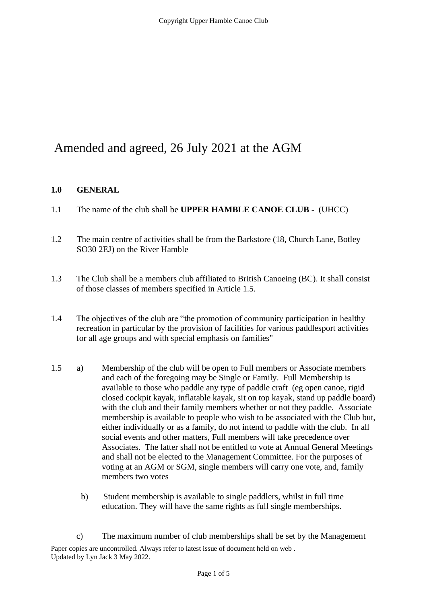# Amended and agreed, 26 July 2021 at the AGM

## **1.0 GENERAL**

- 1.1 The name of the club shall be **UPPER HAMBLE CANOE CLUB -** (UHCC)
- 1.2 The main centre of activities shall be from the Barkstore (18, Church Lane, Botley SO30 2EJ) on the River Hamble
- 1.3 The Club shall be a members club affiliated to British Canoeing (BC). It shall consist of those classes of members specified in Article 1.5.
- 1.4 The objectives of the club are "the promotion of community participation in healthy recreation in particular by the provision of facilities for various paddlesport activities for all age groups and with special emphasis on families"
- 1.5 a) Membership of the club will be open to Full members or Associate members and each of the foregoing may be Single or Family. Full Membership is available to those who paddle any type of paddle craft (eg open canoe, rigid closed cockpit kayak, inflatable kayak, sit on top kayak, stand up paddle board) with the club and their family members whether or not they paddle. Associate membership is available to people who wish to be associated with the Club but, either individually or as a family, do not intend to paddle with the club. In all social events and other matters, Full members will take precedence over Associates. The latter shall not be entitled to vote at Annual General Meetings and shall not be elected to the Management Committee. For the purposes of voting at an AGM or SGM, single members will carry one vote, and, family members two votes
	- b) Student membership is available to single paddlers, whilst in full time education. They will have the same rights as full single memberships.

Paper copies are uncontrolled. Always refer to latest issue of document held on web . Updated by Lyn Jack 3 May 2022. c) The maximum number of club memberships shall be set by the Management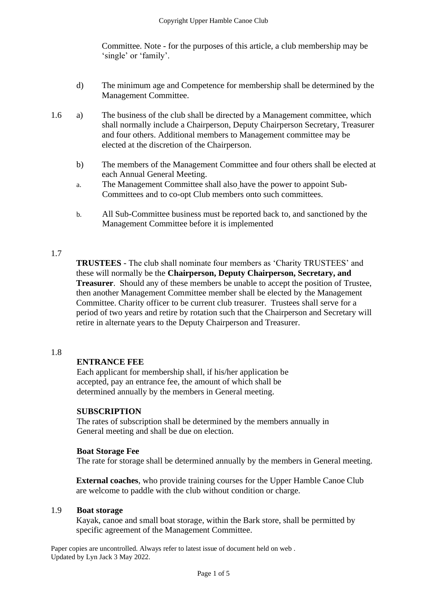Committee. Note - for the purposes of this article, a club membership may be 'single' or 'family'.

- d) The minimum age and Competence for membership shall be determined by the Management Committee.
- 1.6 a) The business of the club shall be directed by a Management committee, which shall normally include a Chairperson, Deputy Chairperson Secretary, Treasurer and four others. Additional members to Management committee may be elected at the discretion of the Chairperson.
	- b) The members of the Management Committee and four others shall be elected at each Annual General Meeting.
	- a. The Management Committee shall also have the power to appoint Sub-Committees and to co-opt Club members onto such committees.
	- b. All Sub-Committee business must be reported back to, and sanctioned by the Management Committee before it is implemented

### 1.7

**TRUSTEES** - The club shall nominate four members as 'Charity TRUSTEES' and these will normally be the **Chairperson, Deputy Chairperson, Secretary, and Treasurer**. Should any of these members be unable to accept the position of Trustee, then another Management Committee member shall be elected by the Management Committee. Charity officer to be current club treasurer. Trustees shall serve for a period of two years and retire by rotation such that the Chairperson and Secretary will retire in alternate years to the Deputy Chairperson and Treasurer.

#### 1.8

#### **ENTRANCE FEE**

Each applicant for membership shall, if his/her application be accepted, pay an entrance fee, the amount of which shall be determined annually by the members in General meeting.

#### **SUBSCRIPTION**

The rates of subscription shall be determined by the members annually in General meeting and shall be due on election.

#### **Boat Storage Fee**

The rate for storage shall be determined annually by the members in General meeting.

**External coaches**, who provide training courses for the Upper Hamble Canoe Club are welcome to paddle with the club without condition or charge.

#### 1.9 **Boat storage**

Kayak, canoe and small boat storage, within the Bark store, shall be permitted by specific agreement of the Management Committee.

Paper copies are uncontrolled. Always refer to latest issue of document held on web . Updated by Lyn Jack 3 May 2022.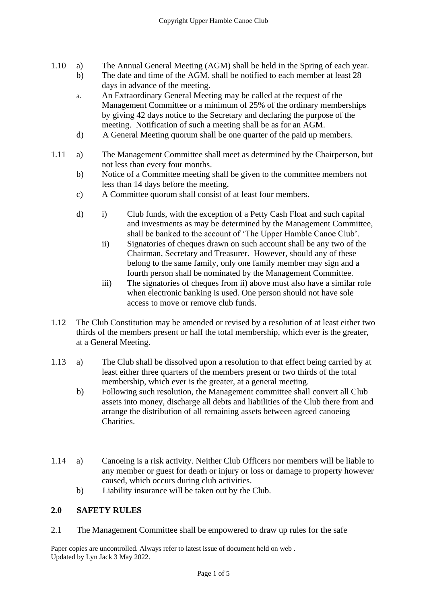- 1.10 a) The Annual General Meeting (AGM) shall be held in the Spring of each year.
	- b) The date and time of the AGM. shall be notified to each member at least 28 days in advance of the meeting.
	- a. An Extraordinary General Meeting may be called at the request of the Management Committee or a minimum of 25% of the ordinary memberships by giving 42 days notice to the Secretary and declaring the purpose of the meeting. Notification of such a meeting shall be as for an AGM.
	- d) A General Meeting quorum shall be one quarter of the paid up members.
- 1.11 a) The Management Committee shall meet as determined by the Chairperson, but not less than every four months.
	- b) Notice of a Committee meeting shall be given to the committee members not less than 14 days before the meeting.
	- c) A Committee quorum shall consist of at least four members.
	- d) i) Club funds, with the exception of a Petty Cash Float and such capital and investments as may be determined by the Management Committee, shall be banked to the account of 'The Upper Hamble Canoe Club'.
		- ii) Signatories of cheques drawn on such account shall be any two of the Chairman, Secretary and Treasurer. However, should any of these belong to the same family, only one family member may sign and a fourth person shall be nominated by the Management Committee.
		- iii) The signatories of cheques from ii) above must also have a similar role when electronic banking is used. One person should not have sole access to move or remove club funds.
- 1.12 The Club Constitution may be amended or revised by a resolution of at least either two thirds of the members present or half the total membership, which ever is the greater, at a General Meeting.
- 1.13 a) The Club shall be dissolved upon a resolution to that effect being carried by at least either three quarters of the members present or two thirds of the total membership, which ever is the greater, at a general meeting.
	- b) Following such resolution, the Management committee shall convert all Club assets into money, discharge all debts and liabilities of the Club there from and arrange the distribution of all remaining assets between agreed canoeing Charities.
- 1.14 a) Canoeing is a risk activity. Neither Club Officers nor members will be liable to any member or guest for death or injury or loss or damage to property however caused, which occurs during club activities.
	- b) Liability insurance will be taken out by the Club.

## **2.0 SAFETY RULES**

2.1 The Management Committee shall be empowered to draw up rules for the safe

Paper copies are uncontrolled. Always refer to latest issue of document held on web . Updated by Lyn Jack 3 May 2022.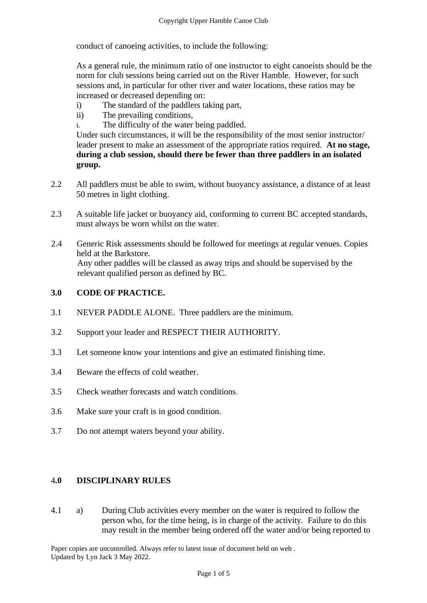conduct of canoeing activities, to include the following:

As a general rule, the minimum ratio of one instructor to eight canoeists should be the norm for club sessions being carried out on the River Hamble. However, for such sessions and, in particular for other river and water locations, these ratios may be increased or decreased depending on:

- i) The standard of the paddlers taking part,
- ii) The prevailing conditions,
- i. The difficulty of the water being paddled.

Under such circumstances, it will be the responsibility of the most senior instructor/ leader present to make an assessment of the appropriate ratios required. **At no stage, during a club session, should there be fewer than three paddlers in an isolated group.**

- 2.2 All paddlers must be able to swim, without buoyancy assistance, a distance of at least 50 metres in light clothing.
- 2.3 A suitable life jacket or buoyancy aid, conforming to current BC accepted standards, must always be worn whilst on the water.
- 2.4 Generic Risk assessments should be followed for meetings at regular venues. Copies held at the Barkstore. Any other paddles will be classed as away trips and should be supervised by the relevant qualified person as defined by BC.

## **3.0 CODE OF PRACTICE.**

- 3.1 NEVER PADDLE ALONE. Three paddlers are the minimum.
- 3.2 Support your leader and RESPECT THEIR AUTHORITY.
- 3.3 Let someone know your intentions and give an estimated finishing time.
- 3.4 Beware the effects of cold weather.
- 3.5 Check weather forecasts and watch conditions.
- 3.6 Make sure your craft is in good condition.
- 3.7 Do not attempt waters beyond your ability.

#### 4**.0 DISCIPLINARY RULES**

4.1 a) During Club activities every member on the water is required to follow the person who, for the time being, is in charge of the activity. Failure to do this may result in the member being ordered off the water and/or being reported to

Paper copies are uncontrolled. Always refer to latest issue of document held on web . Updated by Lyn Jack 3 May 2022.